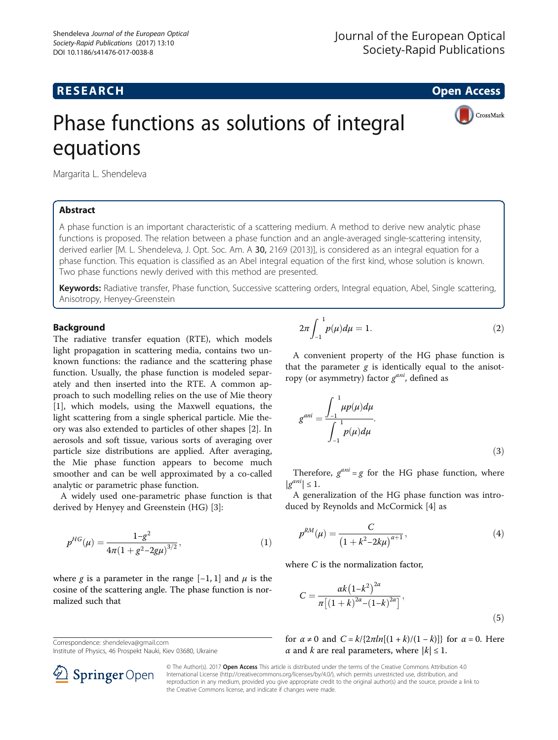# **RESEARCH CHE Open Access**

CrossMark

# Phase functions as solutions of integral equations

Margarita L. Shendeleva

## Abstract

A phase function is an important characteristic of a scattering medium. A method to derive new analytic phase functions is proposed. The relation between a phase function and an angle-averaged single-scattering intensity, derived earlier [M. L. Shendeleva, J. Opt. Soc. Am. A 30, 2169 (2013)], is considered as an integral equation for a phase function. This equation is classified as an Abel integral equation of the first kind, whose solution is known. Two phase functions newly derived with this method are presented.

Keywords: Radiative transfer, Phase function, Successive scattering orders, Integral equation, Abel, Single scattering, Anisotropy, Henyey-Greenstein

#### **Background**

The radiative transfer equation (RTE), which models light propagation in scattering media, contains two unknown functions: the radiance and the scattering phase function. Usually, the phase function is modeled separately and then inserted into the RTE. A common approach to such modelling relies on the use of Mie theory [[1\]](#page-6-0), which models, using the Maxwell equations, the light scattering from a single spherical particle. Mie theory was also extended to particles of other shapes [\[2](#page-6-0)]. In aerosols and soft tissue, various sorts of averaging over particle size distributions are applied. After averaging, the Mie phase function appears to become much smoother and can be well approximated by a co-called analytic or parametric phase function.

A widely used one-parametric phase function is that derived by Henyey and Greenstein (HG) [\[3](#page-6-0)]:

$$
p^{HG}(\mu) = \frac{1 - g^2}{4\pi (1 + g^2 - 2g\mu)^{3/2}},
$$
\n(1)

where g is a parameter in the range  $[-1, 1]$  and  $\mu$  is the cosine of the scattering angle. The phase function is normalized such that

Correspondence: [shendeleva@gmail.com](mailto:shendeleva@gmail.com)

SpringerOpen

Institute of Physics, 46 Prospekt Nauki, Kiev 03680, Ukraine

 $2\pi$ −1 1  $p(\mu)d\mu = 1.$  (2)

A convenient property of the HG phase function is that the parameter  $g$  is identically equal to the anisotropy (or asymmetry) factor  $g^{ani}$ , defined as

$$
g^{ani} = \frac{\int_{-1}^{1} \mu p(\mu) d\mu}{\int_{-1}^{1} p(\mu) d\mu}.
$$
 (3)

Therefore,  $g^{ani} = g$  for the HG phase function, where  $|g^{ani}| \leq 1.$ 

A generalization of the HG phase function was introduced by Reynolds and McCormick [[4\]](#page-6-0) as

$$
p^{RM}(\mu) = \frac{C}{\left(1 + k^2 - 2k\mu\right)^{\alpha + 1}},\tag{4}
$$

where C is the normalization factor,

$$
C = \frac{\alpha k \left(1 - k^2\right)^{2\alpha}}{\pi \left[ \left(1 + k\right)^{2\alpha} - \left(1 - k\right)^{2\alpha} \right]},\tag{5}
$$

for  $\alpha \neq 0$  and  $C = k/{2\pi ln[(1 + k)/(1 - k)]}$  for  $\alpha = 0$ . Here  $\alpha$  and k are real parameters, where  $|k| \leq 1$ .

© The Author(s). 2017 Open Access This article is distributed under the terms of the Creative Commons Attribution 4.0 International License ([http://creativecommons.org/licenses/by/4.0/\)](http://creativecommons.org/licenses/by/4.0/), which permits unrestricted use, distribution, and reproduction in any medium, provided you give appropriate credit to the original author(s) and the source, provide a link to the Creative Commons license, and indicate if changes were made.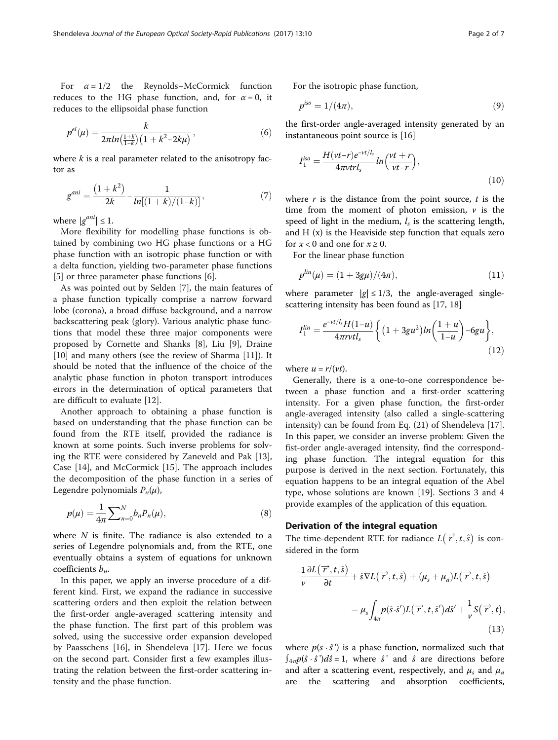For  $\alpha = 1/2$  the Reynolds–McCormick function reduces to the HG phase function, and, for  $\alpha = 0$ , it reduces to the ellipsoidal phase function

$$
p^{el}(\mu) = \frac{k}{2\pi ln(\frac{1+k}{1-k})(1+k^2-2k\mu)},
$$
\n(6)

where  $k$  is a real parameter related to the anisotropy factor as

$$
g^{ani} = \frac{\left(1 + k^2\right)}{2k} - \frac{1}{\ln\left[\left(1 + k\right)/(1 - k)\right]},\tag{7}
$$

where  $|g^{ani}| \leq 1$ .

More flexibility for modelling phase functions is obtained by combining two HG phase functions or a HG phase function with an isotropic phase function or with a delta function, yielding two-parameter phase functions [[5\]](#page-6-0) or three parameter phase functions [\[6](#page-6-0)].

As was pointed out by Selden [\[7](#page-6-0)], the main features of a phase function typically comprise a narrow forward lobe (corona), a broad diffuse background, and a narrow backscattering peak (glory). Various analytic phase functions that model these three major components were proposed by Cornette and Shanks [\[8](#page-6-0)], Liu [[9\]](#page-6-0), Draine [[10\]](#page-6-0) and many others (see the review of Sharma [[11](#page-6-0)]). It should be noted that the influence of the choice of the analytic phase function in photon transport introduces errors in the determination of optical parameters that are difficult to evaluate [\[12\]](#page-6-0).

Another approach to obtaining a phase function is based on understanding that the phase function can be found from the RTE itself, provided the radiance is known at some points. Such inverse problems for solving the RTE were considered by Zaneveld and Pak [\[13](#page-6-0)], Case [[14\]](#page-6-0), and McCormick [[15](#page-6-0)]. The approach includes the decomposition of the phase function in a series of Legendre polynomials  $P_n(\mu)$ ,

$$
p(\mu) = \frac{1}{4\pi} \sum_{n=0}^{N} b_n P_n(\mu),
$$
\n(8)

where  $N$  is finite. The radiance is also extended to a series of Legendre polynomials and, from the RTE, one eventually obtains a system of equations for unknown coefficients  $b_n$ .

In this paper, we apply an inverse procedure of a different kind. First, we expand the radiance in successive scattering orders and then exploit the relation between the first-order angle-averaged scattering intensity and the phase function. The first part of this problem was solved, using the successive order expansion developed by Paasschens [[16\]](#page-6-0), in Shendeleva [\[17\]](#page-6-0). Here we focus on the second part. Consider first a few examples illustrating the relation between the first-order scattering intensity and the phase function.

For the isotropic phase function,

$$
p^{iso} = 1/(4\pi),\tag{9}
$$

the first-order angle-averaged intensity generated by an instantaneous point source is [[16](#page-6-0)]

$$
I_1^{iso} = \frac{H(vt-r)e^{-vt/l_s}}{4\pi v t r l_s} ln\left(\frac{vt+r}{vt-r}\right),\tag{10}
$$

where  $r$  is the distance from the point source,  $t$  is the time from the moment of photon emission,  $\nu$  is the speed of light in the medium,  $l_s$  is the scattering length, and  $H(x)$  is the Heaviside step function that equals zero for  $x < 0$  and one for  $x \ge 0$ .

For the linear phase function

$$
p^{lin}(\mu) = (1 + 3g\mu)/(4\pi), \tag{11}
$$

where parameter  $|g| \leq 1/3$ , the angle-averaged singlescattering intensity has been found as [\[17](#page-6-0), [18\]](#page-6-0)

$$
I_1^{lin} = \frac{e^{-vt/l_s}H(1-u)}{4\pi rvt l_s} \left\{ (1+3gu^2)ln\left(\frac{1+u}{1-u}\right) - 6gu \right\},\tag{12}
$$

where  $u = r/(vt)$ .

Generally, there is a one-to-one correspondence between a phase function and a first-order scattering intensity. For a given phase function, the first-order angle-averaged intensity (also called a single-scattering intensity) can be found from Eq. (21) of Shendeleva [\[17](#page-6-0)]. In this paper, we consider an inverse problem: Given the fist-order angle-averaged intensity, find the corresponding phase function. The integral equation for this purpose is derived in the next section. Fortunately, this equation happens to be an integral equation of the Abel type, whose solutions are known [\[19\]](#page-6-0). [Sections 3](#page-2-0) and [4](#page-5-0) provide examples of the application of this equation.

#### Derivation of the integral equation

The time-dependent RTE for radiance  $L(\overrightarrow{r}, t, \hat{s})$  is considered in the form

$$
\frac{1}{\nu}\frac{\partial L(\overrightarrow{r},t,\hat{s})}{\partial t} + \hat{s}\nabla L(\overrightarrow{r},t,\hat{s}) + (\mu_s + \mu_a)L(\overrightarrow{r},t,\hat{s})
$$

$$
= \mu_s \int_{4\pi} p(\hat{s}\cdot\hat{s}')L(\overrightarrow{r},t,\hat{s}')d\hat{s}' + \frac{1}{\nu}S(\overrightarrow{r},t),
$$
(13)

where  $p(s \cdot \hat{s})$  is a phase function, normalized such that  $\int_{4\pi} p(\hat{s} \cdot \hat{s}) d\hat{s} = 1$ , where  $\hat{s}$ ' and  $\hat{s}$  are directions before and after a scattering event, respectively, and  $\mu_s$  and  $\mu_a$ are the scattering and absorption coefficients,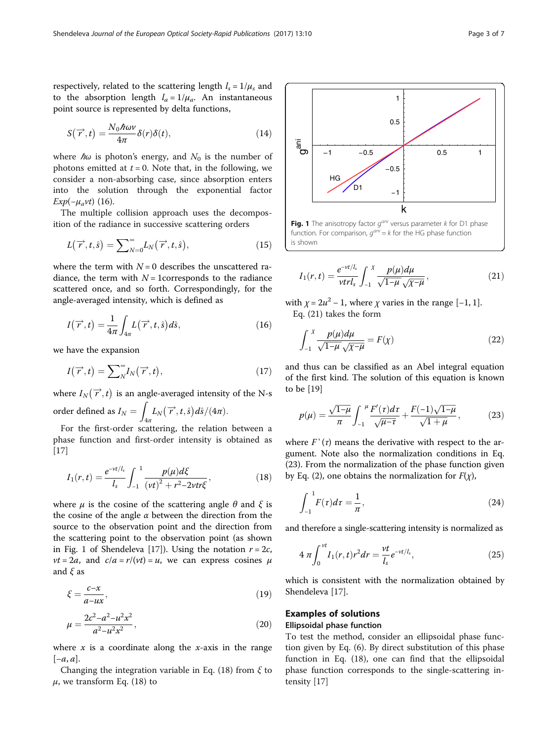<span id="page-2-0"></span>respectively, related to the scattering length  $l_s = 1/\mu_s$  and to the absorption length  $l_a = 1/\mu_a$ . An instantaneous point source is represented by delta functions,

$$
S(\overrightarrow{r},t) = \frac{N_0 \hbar \omega \nu}{4\pi} \delta(r) \delta(t), \qquad (14)
$$

where  $\hbar\omega$  is photon's energy, and  $N_0$  is the number of photons emitted at  $t = 0$ . Note that, in the following, we consider a non-absorbing case, since absorption enters into the solution through the exponential factor  $Exp(-\mu_a vt)$  (16).

The multiple collision approach uses the decomposition of the radiance in successive scattering orders

$$
L(\overrightarrow{r},t,\hat{s}) = \sum_{N=0}^{\infty} L_N(\overrightarrow{r},t,\hat{s}), \qquad (15)
$$

where the term with  $N = 0$  describes the unscattered radiance, the term with  $N = 1$ corresponds to the radiance scattered once, and so forth. Correspondingly, for the angle-averaged intensity, which is defined as

$$
I(\overrightarrow{r},t) = \frac{1}{4\pi} \int_{4\pi} L(\overrightarrow{r},t,\hat{s}) d\hat{s},\qquad(16)
$$

we have the expansion

$$
I(\overrightarrow{r},t) = \sum_{N}^{\infty} I_{N}(\overrightarrow{r},t), \qquad (17)
$$

where  $I_N(\overrightarrow{r},t)$  is an angle-averaged intensity of the N-s order defined as  $I_N = \sqrt{a^2 + b^2}$  $\int_{4\pi} L_N\big(\overrightarrow{r},t,\hat{s}\big) d\hat{s}/(4\pi).$ 

For the first-order scattering, the relation between a phase function and first-order intensity is obtained as [[17\]](#page-6-0)

$$
I_1(r,t) = \frac{e^{-vt/l_s}}{l_s} \int_{-1}^{1} \frac{p(\mu)d\xi}{(\nu t)^2 + r^2 - 2\nu tr \xi},
$$
\n(18)

where  $\mu$  is the cosine of the scattering angle  $\theta$  and  $\xi$  is the cosine of the angle  $\alpha$  between the direction from the source to the observation point and the direction from the scattering point to the observation point (as shown in Fig. 1 of Shendeleva [[17\]](#page-6-0)). Using the notation  $r = 2c$ ,  $vt = 2a$ , and  $c/a = r/(vt) = u$ , we can express cosines  $\mu$ and  $\xi$  as

$$
\xi = \frac{c - x}{a - ux},\tag{19}
$$

$$
\mu = \frac{2c^2 - a^2 - u^2 x^2}{a^2 - u^2 x^2},\tag{20}
$$

where  $x$  is a coordinate along the  $x$ -axis in the range  $[-a, a]$ .

Changing the integration variable in Eq. (18) from  $\xi$  to  $\mu$ , we transform Eq. (18) to



function. For comparison,  $q^{ani} = k$  for the HG phase function is shown

$$
I_1(r,t) = \frac{e^{-vt/l_s}}{vtrl_s} \int_{-1}^{X} \frac{p(\mu)d\mu}{\sqrt{1-\mu}\sqrt{\chi-\mu}},
$$
(21)

with  $\chi = 2u^2 - 1$ , where  $\chi$  varies in the range [-1, 1]. Eq. (21) takes the form

$$
\int_{-1}^{X} \frac{p(\mu)d\mu}{\sqrt{1-\mu}\sqrt{\chi-\mu}} = F(\chi)
$$
\n(22)

and thus can be classified as an Abel integral equation of the first kind. The solution of this equation is known to be [[19](#page-6-0)]

$$
p(\mu) = \frac{\sqrt{1-\mu}}{\pi} \int_{-1}^{\mu} \frac{F'(r)dr}{\sqrt{\mu-r}} + \frac{F(-1)\sqrt{1-\mu}}{\sqrt{1+\mu}},
$$
 (23)

where  $F'(r)$  means the derivative with respect to the argument. Note also the normalization conditions in Eq. (23). From the normalization of the phase function given by Eq. (2), one obtains the normalization for  $F(\chi)$ ,

$$
\int_{-1}^{1} F(\tau)d\tau = \frac{1}{\pi},\tag{24}
$$

and therefore a single-scattering intensity is normalized as

$$
4 \pi \int_0^{vt} I_1(r,t) r^2 dr = \frac{vt}{l_s} e^{-vt/l_s}, \qquad (25)
$$

which is consistent with the normalization obtained by Shendeleva [[17](#page-6-0)].

# Examples of solutions

## Ellipsoidal phase function

To test the method, consider an ellipsoidal phase function given by Eq. (6). By direct substitution of this phase function in Eq. (18), one can find that the ellipsoidal phase function corresponds to the single-scattering intensity [[17\]](#page-6-0)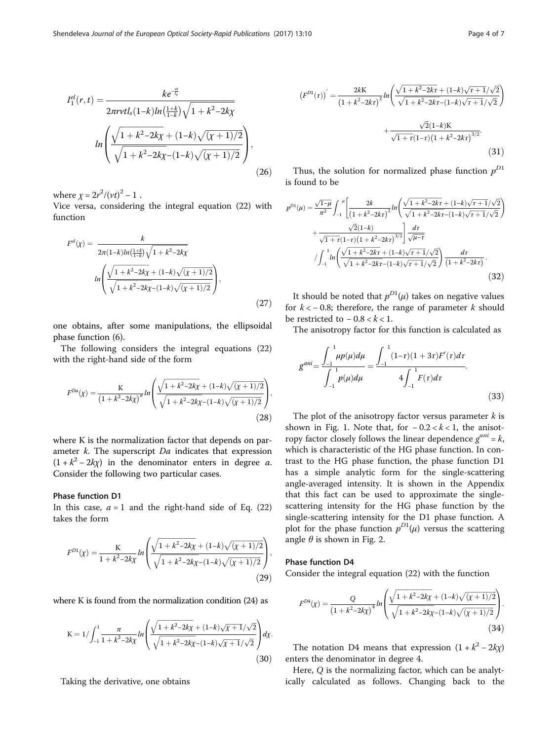$$
I_1^{el}(r,t) = \frac{ke^{\frac{-\nu t}{\hbar}}}{2\pi r \nu t l_s (1-k) \ln\left(\frac{1+k}{1-k}\right) \sqrt{1+k^2-2k\chi}}
$$

$$
\ln\left(\frac{\sqrt{1+k^2-2k\chi} + (1-k)\sqrt{(\chi+1)/2}}{\sqrt{1+k^2-2k\chi} - (1-k)\sqrt{(\chi+1)/2}}\right),\tag{26}
$$

where  $\chi = 2r^2/(vt)^2 - 1$ .

Vice versa, considering the integral equation (22) with function

$$
F^{el}(\chi) = \frac{k}{2\pi(1-k)ln(\frac{1+k}{1-k})\sqrt{1+k^2-2k\chi}}
$$

$$
ln\left(\frac{\sqrt{1+k^2-2k\chi}+(1-k)\sqrt{(\chi+1)/2}}{\sqrt{1+k^2-2k\chi}-(1-k)\sqrt{(\chi+1)/2}}\right),
$$
(27)

one obtains, after some manipulations, the ellipsoidal phase function (6).

The following considers the integral equations (22) with the right-hand side of the form

$$
F^{Da}(\chi) = \frac{K}{\left(1 + k^2 - 2k\chi\right)^a} ln\left(\frac{\sqrt{1 + k^2 - 2k\chi} + (1 - k)\sqrt{(\chi + 1)/2}}{\sqrt{1 + k^2 - 2k\chi} - (1 - k)\sqrt{(\chi + 1)/2}}\right),\tag{28}
$$

where K is the normalization factor that depends on parameter  $k$ . The superscript  $Da$  indicates that expression  $(1 + k^2 - 2k\chi)$  in the denominator enters in degree a. Consider the following two particular cases.

#### Phase function D1

In this case,  $a = 1$  and the right-hand side of Eq. (22) takes the form

$$
F^{D1}(\chi) = \frac{K}{1 + k^2 - 2k\chi} ln\left(\frac{\sqrt{1 + k^2 - 2k\chi} + (1 - k)\sqrt{(\chi + 1)/2}}{\sqrt{1 + k^2 - 2k\chi} - (1 - k)\sqrt{(\chi + 1)/2}}\right),\tag{29}
$$

where Κ is found from the normalization condition (24) as

$$
K = 1/\int_{-1}^{1} \frac{\pi}{1 + k^2 - 2k\chi} ln\left(\frac{\sqrt{1 + k^2 - 2k\chi} + (1 - k)\sqrt{\chi + 1}/\sqrt{2}}{\sqrt{1 + k^2 - 2k\chi} - (1 - k)\sqrt{\chi + 1}/\sqrt{2}}\right) d\chi.
$$
\n(30)

Taking the derivative, one obtains

$$
(F^{D1}(\tau))' = \frac{2kK}{\left(1 + k^2 - 2kr\right)^2} ln\left(\frac{\sqrt{1 + k^2 - 2kr} + (1 - k)\sqrt{\tau + 1}/\sqrt{2}}{\sqrt{1 + k^2 - 2kr} - (1 - k)\sqrt{\tau + 1}/\sqrt{2}}\right) + \frac{\sqrt{2}(1 - k)K}{\sqrt{1 + \tau}(1 - \tau)\left(1 + k^2 - 2kr\right)^{3/2}}.
$$
\n(31)

Thus, the solution for normalized phase function  $p^{D1}$ is found to be

$$
p^{D1}(\mu) = \frac{\sqrt{1-\mu}}{\pi^2} \int_{-1}^{\mu} \left[ \frac{2k}{\left(1+k^2-2k\tau\right)^2} ln\left(\frac{\sqrt{1+k^2-2k\tau} + (1-k)\sqrt{\tau+1}/\sqrt{2}}{\sqrt{1+k^2-2k\tau} - (1-k)\sqrt{\tau+1}/\sqrt{2}}\right) + \frac{\sqrt{2}(1-k)}{\sqrt{1+\tau}(1-\tau)\left(1+k^2-2k\tau\right)^{3/2}} \right] \frac{d\tau}{\sqrt{\mu-\tau}}
$$

$$
/ \int_{-1}^{1} ln\left(\frac{\sqrt{1+k^2-2k\tau} + (1-k)\sqrt{\tau+1}/\sqrt{2}}{\sqrt{1+k^2-2k\tau} - (1-k)\sqrt{\tau+1}/\sqrt{2}}\right) \frac{d\tau}{\left(1+k^2-2k\tau\right)}.
$$
(32)

It should be noted that  $p^{D1}(\mu)$  takes on negative values for  $k < -0.8$ ; therefore, the range of parameter k should be restricted to  $-0.8 < k < 1$ .

The anisotropy factor for this function is calculated as

$$
g^{ani} = \frac{\int_{-1}^{1} \mu p(\mu) d\mu}{\int_{-1}^{1} p(\mu) d\mu} = \frac{\int_{-1}^{1} (1-\tau)(1+3\tau)F'(\tau) d\tau}{4\int_{-1}^{1} F(\tau) d\tau}.
$$
\n(33)

The plot of the anisotropy factor versus parameter  $k$  is shown in Fig. [1](#page-2-0). Note that, for  $-0.2 < k < 1$ , the anisotropy factor closely follows the linear dependence  $g^{ani} = k$ , which is characteristic of the HG phase function. In contrast to the HG phase function, the phase function D1 has a simple analytic form for the single-scattering angle-averaged intensity. It is shown in the [Appendix](#page-5-0) that this fact can be used to approximate the singlescattering intensity for the HG phase function by the single-scattering intensity for the D1 phase function. A plot for the phase function  $p^{D1}(\mu)$  versus the scattering angle  $\theta$  is shown in Fig. [2](#page-4-0).

#### Phase function D4

Consider the integral equation (22) with the function

$$
F^{D4}(\chi) = \frac{Q}{\left(1 + k^2 - 2k\chi\right)^4} ln \left( \frac{\sqrt{1 + k^2 - 2k\chi} + (1 - k)\sqrt{(\chi + 1)/2}}{\sqrt{1 + k^2 - 2k\chi} - (1 - k)\sqrt{(\chi + 1)/2}} \right).
$$
\n(34)

The notation D4 means that expression  $(1 + k^2 - 2k\chi)$ enters the denominator in degree 4.

Here, Q is the normalizing factor, which can be analytically calculated as follows. Changing back to the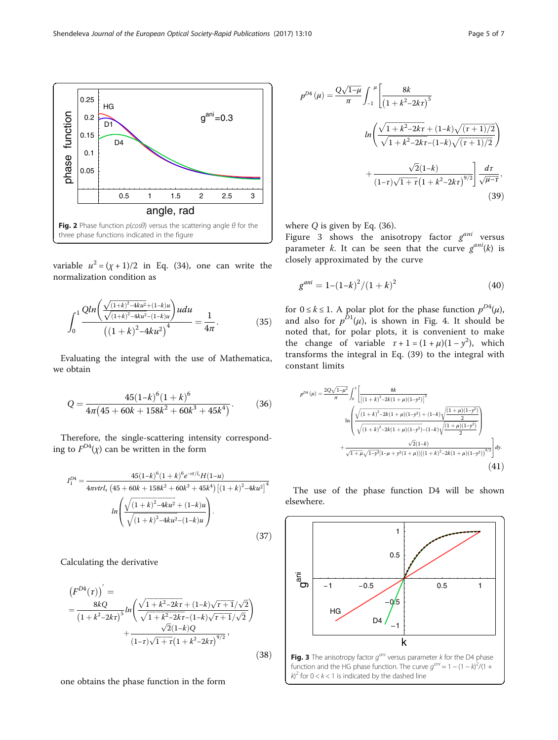variable  $u^2 = (x + 1)/2$  in Eq. (34), one can write the normalization condition as

**Fig. 2** Phase function  $p(cos\theta)$  versus the scattering angle  $\theta$  for the

angle, rad

0.5 1 1.5 2 2.5 3

 $a<sup>ani</sup>=0.3$ 

phase function

ohase function

0.05 0.1 0.15 0.2 0.25

HG  $\overline{D1}$ 

D<sub>4</sub>

three phase functions indicated in the figure

$$
\int_0^1 \frac{Qln\left(\frac{\sqrt{(1+k)^2 - 4ku^2 + (1-k)u}}{\sqrt{(1+k)^2 - 4ku^2 - (1-k)u}}\right)udu}{\left((1+k)^2 - 4ku^2\right)^4} = \frac{1}{4\pi}.
$$
 (35)

Evaluating the integral with the use of Mathematica, we obtain

$$
Q = \frac{45(1-k)^6(1+k)^6}{4\pi(45+60k+158k^2+60k^3+45k^4)}.\tag{36}
$$

Therefore, the single-scattering intensity corresponding to  $F^{D4}(\chi)$  can be written in the form

$$
I_1^{D4} = \frac{45(1-k)^6(1+k)^6e^{-\nu t/l_s}H(1-u)}{4\pi\nu tr l_s \left(45+60k+158k^2+60k^3+45k^4\right) \left[(1+k)^2-4ku^2\right]^4}
$$

$$
ln\left(\frac{\sqrt{(1+k)^2-4ku^2}+(1-k)u}{\sqrt{(1+k)^2-4ku^2}-(1-k)u}\right).
$$
(37)

Calculating the derivative

$$
(F^{D4}(\tau))' =
$$
  
= 
$$
\frac{8kQ}{(1+k^2-2kr)^5} ln\left(\frac{\sqrt{1+k^2-2kr} + (1-k)\sqrt{\tau+1}/\sqrt{2}}{\sqrt{1+k^2-2kr} - (1-k)\sqrt{\tau+1}/\sqrt{2}}\right) + \frac{\sqrt{2}(1-k)Q}{(1-\tau)\sqrt{1+\tau}(1+k^2-2kr)^{9/2}},
$$
(38)

one obtains the phase function in the form

$$
p^{D4}(\mu) = \frac{Q\sqrt{1-\mu}}{\pi} \int_{-1}^{\mu} \left[ \frac{8k}{\left(1+k^2-2k\tau\right)^5} \right]
$$

$$
ln\left(\frac{\sqrt{1+k^2-2k\tau} + (1-k)\sqrt{(\tau+1)/2}}{\sqrt{1+k^2-2k\tau} - (1-k)\sqrt{(\tau+1)/2}}\right)
$$

$$
+ \frac{\sqrt{2}(1-k)}{(1-\tau)\sqrt{1+\tau}\left(1+k^2-2k\tau\right)^{9/2}} \right] \frac{d\tau}{\sqrt{\mu-\tau}},
$$
(39)

where  $Q$  is given by Eq. (36).

Figure 3 shows the anisotropy factor  $g^{ani}$  versus parameter k. It can be seen that the curve  $g^{ani}(k)$  is closely approximated by the curve

$$
g^{ani} = 1 - (1 - k)^2 / (1 + k)^2 \tag{40}
$$

for  $0 \le k \le 1$ . A polar plot for the phase function  $p^{D4}(\mu)$ , and also for  $p^{D1}(\mu)$ , is shown in Fig. [4](#page-5-0). It should be noted that, for polar plots, it is convenient to make the change of variable  $\tau + 1 = (1 + \mu)(1 - y^2)$ , which transforms the integral in Eq. (39) to the integral with constant limits

$$
p^{D4}(\mu) = \frac{2Q\sqrt{1-\mu^2}}{\pi} \int_0^1 \left[ \frac{8k}{\left[ (1+k)^2 - 2k(1+\mu)(1-y^2) \right]^5} \right]
$$
  
\n
$$
\ln \left( \frac{\sqrt{(1+k)^2 - 2k(1+\mu)(1-y^2)} + (1-k)\sqrt{\frac{(1+\mu)(1-y^2)}{2}}}{\sqrt{(1+k)^2 - 2k(1+\mu)(1-y^2)} - (1-k)\sqrt{\frac{(1+\mu)(1-y^2)}{2}}} \right)
$$
  
\n+ 
$$
\frac{\sqrt{2}(1-k)}{\sqrt{1+\mu}\sqrt{1-y^2}[1-\mu+y^2(1+\mu)]\left((1+k)^2 - 2k(1+\mu)(1-y^2)\right)^{9/2}} \right] dy.
$$
\n(41)

The use of the phase function D4 will be shown elsewhere.



<span id="page-4-0"></span>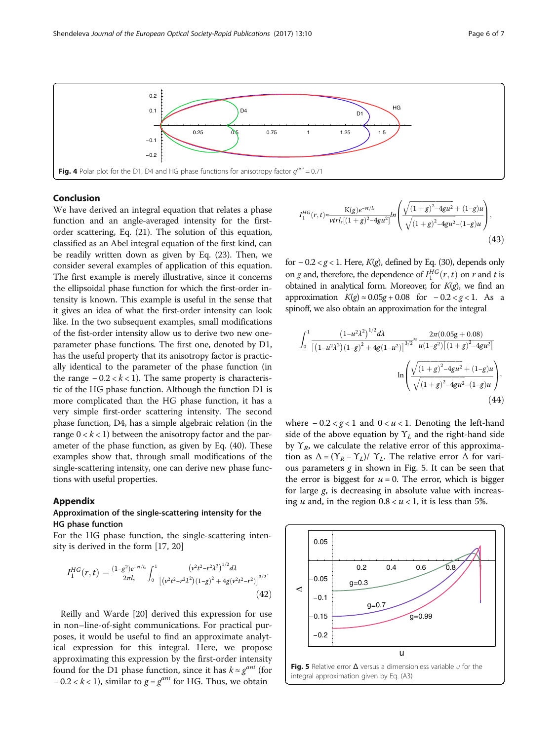<span id="page-5-0"></span>

#### Conclusion

We have derived an integral equation that relates a phase function and an angle-averaged intensity for the firstorder scattering, Eq. (21). The solution of this equation, classified as an Abel integral equation of the first kind, can be readily written down as given by Eq. (23). Then, we consider several examples of application of this equation. The first example is merely illustrative, since it concerns the ellipsoidal phase function for which the first-order intensity is known. This example is useful in the sense that it gives an idea of what the first-order intensity can look like. In the two subsequent examples, small modifications of the fist-order intensity allow us to derive two new oneparameter phase functions. The first one, denoted by D1, has the useful property that its anisotropy factor is practically identical to the parameter of the phase function (in the range  $-0.2 < k < 1$ ). The same property is characteristic of the HG phase function. Although the function D1 is more complicated than the HG phase function, it has a very simple first-order scattering intensity. The second phase function, D4, has a simple algebraic relation (in the range  $0 < k < 1$ ) between the anisotropy factor and the parameter of the phase function, as given by Eq. (40). These examples show that, through small modifications of the single-scattering intensity, one can derive new phase functions with useful properties.

#### Appendix

#### Approximation of the single-scattering intensity for the HG phase function

For the HG phase function, the single-scattering intensity is derived in the form [\[17](#page-6-0), [20](#page-6-0)]

$$
I_1^{HG}(r,t) = \frac{(1-g^2)e^{-\nu t/l_s}}{2\pi l_s} \int_0^1 \frac{\left(\nu^2 t^2 - r^2 \lambda^2\right)^{1/2} d\lambda}{\left[\left(\nu^2 t^2 - r^2 \lambda^2\right)(1-g)^2 + 4g(\nu^2 t^2 - r^2)\right]^{3/2}}.
$$
\n(42)

Reilly and Warde [[20\]](#page-6-0) derived this expression for use in non–line-of-sight communications. For practical purposes, it would be useful to find an approximate analytical expression for this integral. Here, we propose approximating this expression by the first-order intensity found for the D1 phase function, since it has  $k \approx g^{ani}$  (for  $-0.2 < k < 1$ ), similar to  $g = g^{ani}$  for HG. Thus, we obtain

$$
I_1^{HG}(r,t) \approx \frac{K(g)e^{-vt/l_s}}{vtr I_s[(1+g)^2 - 4gu^2]} ln\left(\frac{\sqrt{(1+g)^2 - 4gu^2} + (1-g)u}{\sqrt{(1+g)^2 - 4gu^2} - (1-g)u}\right),
$$
\n(43)

for  $-0.2 < g < 1$ . Here,  $K(g)$ , defined by Eq. (30), depends only on *g* and, therefore, the dependence of  $I_1^{HG}(r,t)$  on *r* and *t* is obtained in analytical form. Moreover, for  $K(g)$ , we find an approximation  $K(g) \approx 0.05g + 0.08$  for  $-0.2 < g < 1$ . As a spinoff, we also obtain an approximation for the integral

$$
\int_0^1 \frac{\left(1 - u^2 \lambda^2\right)^{1/2} d\lambda}{\left[\left(1 - u^2 \lambda^2\right) \left(1 - g\right)^2 + 4g\left(1 - u^2\right)\right]^{3/2}} \frac{2\pi (0.05g + 0.08)}{u(1 - g^2)\left[\left(1 + g\right)^2 - 4gu^2\right]}
$$

$$
\ln \left( \frac{\sqrt{\left(1 + g\right)^2 - 4gu^2} + (1 - g)u}{\sqrt{\left(1 + g\right)^2 - 4gu^2} - (1 - g)u} \right),\tag{44}
$$

where  $-0.2 < g < 1$  and  $0 < u < 1$ . Denoting the left-hand side of the above equation by  $Y_L$  and the right-hand side by  $\Upsilon_R$ , we calculate the relative error of this approximation as  $\Delta = (\Upsilon_R - \Upsilon_L)/\Upsilon_L$ . The relative error  $\Delta$  for various parameters  $g$  in shown in Fig. 5. It can be seen that the error is biggest for  $u = 0$ . The error, which is bigger for large g, is decreasing in absolute value with increasing *u* and, in the region  $0.8 < u < 1$ , it is less than 5%.